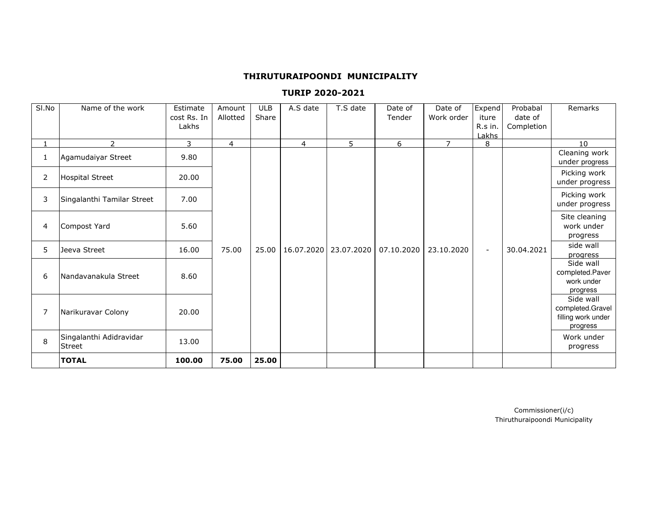#### **THIRUTURAIPOONDI MUNICIPALITY**

## **TURIP 2020-2021**

| SI.No          | Name of the work           | Estimate    | Amount         | <b>ULB</b> | A.S date       | T.S date                | Date of    | Date of        | Expend         | Probabal   | Remarks                        |
|----------------|----------------------------|-------------|----------------|------------|----------------|-------------------------|------------|----------------|----------------|------------|--------------------------------|
|                |                            | cost Rs. In | Allotted       | Share      |                |                         | Tender     | Work order     | iture          | date of    |                                |
|                |                            | Lakhs       |                |            |                |                         |            |                | R.s in.        | Completion |                                |
|                | 2                          | 3           | $\overline{4}$ |            | $\overline{4}$ | 5                       | 6          | $\overline{7}$ | Lakhs          |            | 10                             |
|                |                            |             |                |            |                |                         |            |                | 8              |            | Cleaning work                  |
| 1              | Agamudaiyar Street         | 9.80        |                |            |                |                         |            |                |                |            | under progress                 |
|                |                            |             |                |            |                |                         |            |                |                |            |                                |
| $\overline{2}$ | <b>Hospital Street</b>     | 20.00       |                |            |                |                         |            |                |                |            | Picking work<br>under progress |
|                |                            |             |                |            |                |                         |            |                |                |            |                                |
| 3              | Singalanthi Tamilar Street | 7.00        |                |            |                |                         |            |                |                |            | Picking work                   |
|                |                            |             |                |            |                |                         |            |                |                |            | under progress                 |
|                |                            |             |                |            |                |                         |            |                |                |            | Site cleaning                  |
| 4              | Compost Yard               | 5.60        |                |            |                |                         |            |                |                |            | work under                     |
|                |                            |             |                |            |                |                         |            |                |                |            | progress                       |
| 5              | Jeeva Street               | 16.00       | 75.00          | 25.00      |                | 16.07.2020   23.07.2020 | 07.10.2020 | 23.10.2020     | $\blacksquare$ | 30.04.2021 | side wall                      |
|                |                            |             |                |            |                |                         |            |                |                |            | progress                       |
|                |                            |             |                |            |                |                         |            |                |                |            | Side wall                      |
| 6              | Nandavanakula Street       | 8.60        |                |            |                |                         |            |                |                |            | completed.Paver<br>work under  |
|                |                            |             |                |            |                |                         |            |                |                |            | progress                       |
|                |                            |             |                |            |                |                         |            |                |                |            | Side wall                      |
|                |                            |             |                |            |                |                         |            |                |                |            | completed.Gravel               |
| 7              | Narikuravar Colony         | 20.00       |                |            |                |                         |            |                |                |            | filling work under             |
|                |                            |             |                |            |                |                         |            |                |                |            | progress                       |
| 8              | Singalanthi Adidravidar    | 13.00       |                |            |                |                         |            |                |                |            | Work under                     |
|                | <b>Street</b>              |             |                |            |                |                         |            |                |                |            | progress                       |
|                | <b>TOTAL</b>               | 100.00      | 75.00          | 25.00      |                |                         |            |                |                |            |                                |

Thiruthuraipoondi MunicipalityCommissioner(i/c)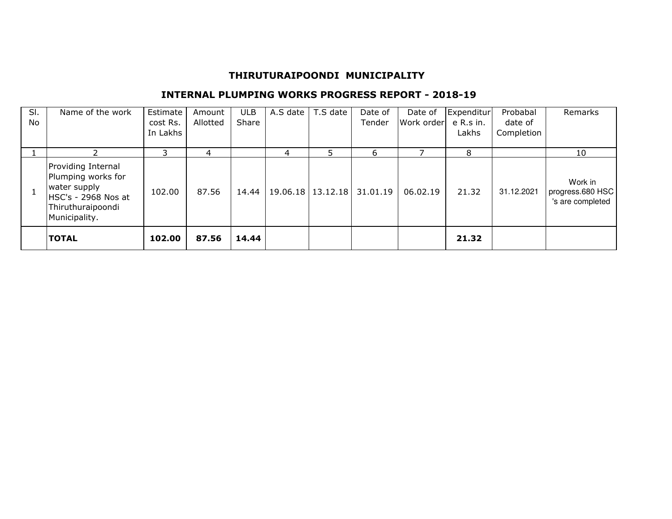# **THIRUTURAIPOONDI MUNICIPALITY**

## **INTERNAL PLUMPING WORKS PROGRESS REPORT - 2018-19**

| SI.<br><b>No</b> | Name of the work                                                                                                      | Estimate<br>cost Rs.<br>In Lakhs | Amount<br>Allotted | ULB.<br>Share | A.S date | T.S date | Date of<br>Tender | Date of<br>Work order | Expenditur<br>e R.s in.<br>Lakhs | Probabal<br>date of<br>Completion | <b>Remarks</b>                                  |
|------------------|-----------------------------------------------------------------------------------------------------------------------|----------------------------------|--------------------|---------------|----------|----------|-------------------|-----------------------|----------------------------------|-----------------------------------|-------------------------------------------------|
|                  |                                                                                                                       |                                  | 4                  |               | 4        | 5.       | 6                 |                       | 8                                |                                   | 10                                              |
|                  | Providing Internal<br>Plumping works for<br>water supply<br>HSC's - 2968 Nos at<br>Thiruthuraipoondi<br>Municipality. | 102.00                           | 87.56              | 14.44         | 19.06.18 | 13.12.18 | 31.01.19          | 06.02.19              | 21.32                            | 31.12.2021                        | Work in<br>progress.680 HSC<br>'s are completed |
|                  | <b>TOTAL</b>                                                                                                          | 102.00                           | 87.56              | 14.44         |          |          |                   |                       | 21.32                            |                                   |                                                 |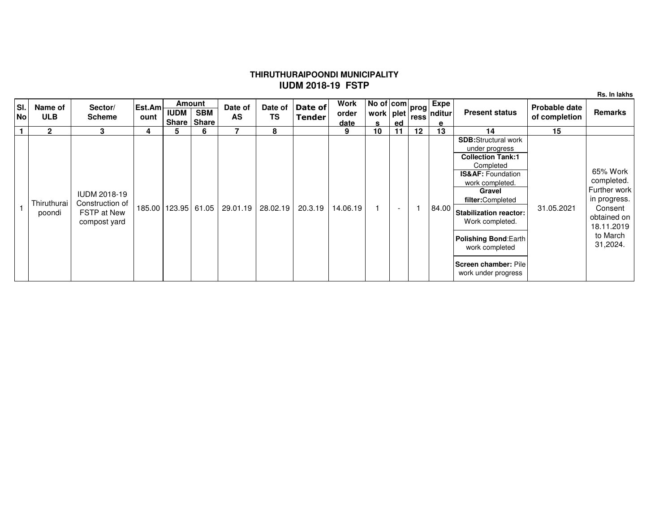## **THIRUTHURAIPOONDI MUNICIPALITYIUDM 2018-19 FSTP**

**Rs. In lakhs**

| SI.<br><b>No</b> | Name of<br><b>ULB</b> | Sector/<br><b>Scheme</b>                                                     | Est.Am<br>ount | <b>Amount</b><br><b>IUDM</b><br><b>Share</b> | <b>SBM</b><br><b>Share</b> | Date of<br><b>AS</b> | Date of<br><b>TS</b> | Date of<br>Tender | <b>Work</b><br>order<br>date | $\sqrt{10}$ of $\vert$ com $\vert$ prog $\vert$ $\vert$<br>work   plet<br>s | ed                       |                   | Expe<br>™   ress  nditur  <br>е | <b>Present status</b>                                                                                                                                                                                                                                                                                                       | Probable date<br>of completion | <b>Remarks</b>                                                                                                         |
|------------------|-----------------------|------------------------------------------------------------------------------|----------------|----------------------------------------------|----------------------------|----------------------|----------------------|-------------------|------------------------------|-----------------------------------------------------------------------------|--------------------------|-------------------|---------------------------------|-----------------------------------------------------------------------------------------------------------------------------------------------------------------------------------------------------------------------------------------------------------------------------------------------------------------------------|--------------------------------|------------------------------------------------------------------------------------------------------------------------|
|                  | $\mathbf{2}$          | 3                                                                            | 4              | 5                                            | 6                          |                      | 8                    |                   | 9                            | 10                                                                          |                          | $12 \overline{ }$ | 13                              | 14                                                                                                                                                                                                                                                                                                                          | 15                             |                                                                                                                        |
|                  | Thiruthurai<br>poondi | <b>IUDM 2018-19</b><br>Construction of<br><b>FSTP at New</b><br>compost yard |                | 185.00   123.95   61.05                      |                            | 29.01.19             | 28.02.19             | 20.3.19           | 14.06.19                     |                                                                             | $\overline{\phantom{a}}$ |                   | 84.00                           | <b>SDB:</b> Structural work<br>under progress<br><b>Collection Tank:1</b><br>Completed<br><b>IS&amp;AF: Foundation</b><br>work completed.<br>Gravel<br>filter:Completed<br><b>Stabilization reactor:</b><br>Work completed.<br><b>Polishing Bond:Earth</b><br>work completed<br>Screen chamber: Pile<br>work under progress | 31.05.2021                     | 65% Work<br>completed.<br>Further work<br>in progress.<br>Consent<br>obtained on<br>18.11.2019<br>to March<br>31,2024. |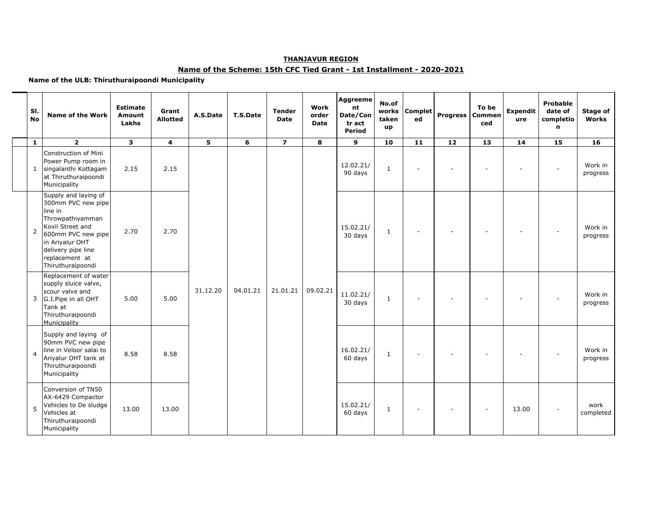#### **THANJAVUR REGION**

#### **Name of the Scheme: 15th CFC Tied Grant - 1st Installment - 2020-2021**

#### **Name of the ULB: Thiruthuraipoondi Municipality**

| SI.<br><b>No</b> | <b>Name of the Work</b>                                                                                                                                                                             | <b>Estimate</b><br><b>Amount</b><br>Lakhs | Grant<br><b>Allotted</b> | A.S.Date | T.S.Date | <b>Tender</b><br><b>Date</b> | Work<br>order<br><b>Date</b> | Aggreeme<br>nt<br>Date/Con<br>tr act<br>Period | No.of<br>works<br>taken<br>up | Complet<br>ed            | <b>Progress</b> | To be<br>Commen<br>ced | <b>Expendit</b><br>ure | Probable<br>date of<br>completio<br>n | Stage of<br>Works   |
|------------------|-----------------------------------------------------------------------------------------------------------------------------------------------------------------------------------------------------|-------------------------------------------|--------------------------|----------|----------|------------------------------|------------------------------|------------------------------------------------|-------------------------------|--------------------------|-----------------|------------------------|------------------------|---------------------------------------|---------------------|
| $\mathbf{1}$     | $\overline{2}$                                                                                                                                                                                      | $\overline{\mathbf{3}}$                   | $\overline{\mathbf{4}}$  | 5        | 6        | $\overline{z}$               | 8                            | 9                                              | 10                            | 11                       | $12$            | 13                     | 14                     | 15                                    | 16                  |
|                  | Construction of Mini<br>Power Pump room in<br>1 singalanthi Kottagam<br>at Thiruthuraipoondi<br>Municipality                                                                                        | 2.15                                      | 2.15                     |          |          |                              |                              | 12.02.21/<br>90 days                           | 1                             | ÷,                       |                 |                        |                        | $\sim$                                | Work in<br>progress |
| $\overline{2}$   | Supply and laying of<br>300mm PVC new pipe<br>line in<br>Throwpathiyamman<br>Kovil Street and<br>600mm PVC new pipe<br>in Ariyalur OHT<br>delivery pipe line<br>replacement at<br>Thiruthuraipoondi | 2.70                                      | 2.70                     |          |          |                              |                              | 15.02.21/<br>30 days                           | 1                             | $\sim$                   |                 |                        |                        |                                       | Work in<br>progress |
|                  | Replacement of water<br>supply sluice valve,<br>scour valve and<br>3 G.I.Pipe in all OHT<br>Tank at<br>Thiruthuraipoondi<br>Municipality                                                            | 5.00                                      | 5.00                     | 31.12.20 | 04.01.21 | 21.01.21                     | 09.02.21                     | 11.02.21/<br>30 days                           | $\mathbf{1}$                  | $\overline{a}$           |                 |                        |                        |                                       | Work in<br>progress |
| $\overline{4}$   | Supply and laying of<br>90mm PVC new pipe<br>line in Veloor salai to<br>Ariyalur OHT tank at<br>Thiruthuraipoondi<br>Municipality                                                                   | 8.58                                      | 8.58                     |          |          |                              |                              | 16.02.21/<br>60 days                           | $\mathbf{1}$                  | $\sim$                   |                 |                        |                        |                                       | Work in<br>progress |
| 5                | Conversion of TN50<br>AX-6429 Compactor<br>Vehicles to De sludge<br>Vehicles at<br>Thiruthuraipoondi<br>Municipality                                                                                | 13.00                                     | 13.00                    |          |          |                              |                              | 15.02.21/<br>60 days                           | 1                             | $\overline{\phantom{a}}$ |                 |                        | 13.00                  |                                       | work<br>completed   |